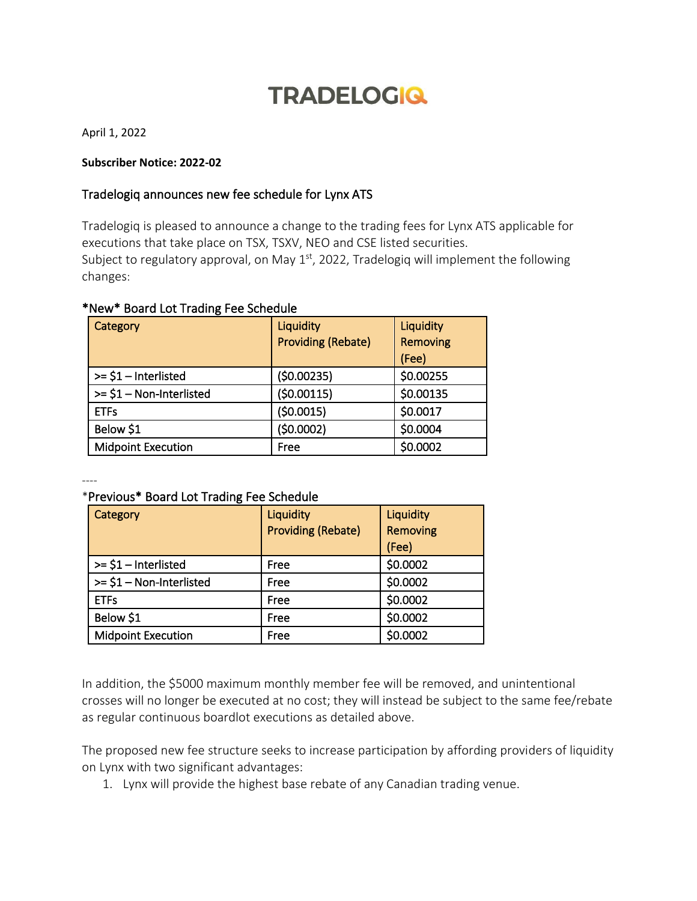# **TRADELOGIQ**

April 1, 2022

### **Subscriber Notice: 2022-02**

## Tradelogiq announces new fee schedule for Lynx ATS

Tradelogiq is pleased to announce a change to the trading fees for Lynx ATS applicable for executions that take place on TSX, TSXV, NEO and CSE listed securities. Subject to regulatory approval, on May  $1<sup>st</sup>$ , 2022, Tradelogiq will implement the following changes:

| Category                  | Liquidity<br><b>Providing (Rebate)</b> | Liquidity<br>Removing<br>(Fee) |
|---------------------------|----------------------------------------|--------------------------------|
| $>=$ \$1 – Interlisted    | (50.00235)                             | \$0.00255                      |
| $>= $1 - Non-Interlisted$ | (50.00115)                             | \$0.00135                      |
| <b>ETFs</b>               | (50.0015)                              | \$0.0017                       |
| Below \$1                 | (50.0002)                              | \$0.0004                       |
| <b>Midpoint Execution</b> | Free                                   | \$0.0002                       |

## \*New\* Board Lot Trading Fee Schedule

----

### \*Previous\* Board Lot Trading Fee Schedule

| Category                  | Liquidity<br><b>Providing (Rebate)</b> | Liquidity<br>Removing<br>(Fee) |
|---------------------------|----------------------------------------|--------------------------------|
| $>= $1$ – Interlisted     | Free                                   | \$0.0002                       |
| $>= $1 - Non-Interlisted$ | Free                                   | \$0.0002                       |
| <b>ETFs</b>               | Free                                   | \$0.0002                       |
| Below \$1                 | Free                                   | \$0.0002                       |
| <b>Midpoint Execution</b> | Free                                   | \$0.0002                       |

In addition, the \$5000 maximum monthly member fee will be removed, and unintentional crosses will no longer be executed at no cost; they will instead be subject to the same fee/rebate as regular continuous boardlot executions as detailed above.

The proposed new fee structure seeks to increase participation by affording providers of liquidity on Lynx with two significant advantages:

1. Lynx will provide the highest base rebate of any Canadian trading venue.